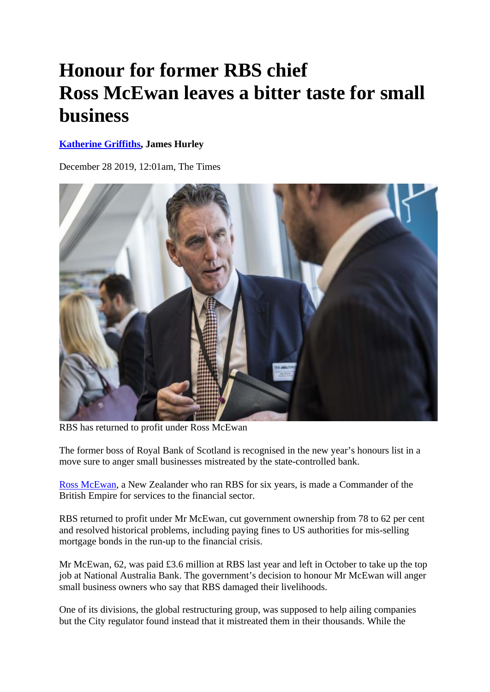## **Honour for former RBS chief Ross McEwan leaves a bitter taste for small business**

## **Katherine Griffiths, James Hurley**

December 28 2019, 12:01am, The Times



RBS has returned to profit under Ross McEwan

The former boss of Royal Bank of Scotland is recognised in the new year's honours list in a move sure to anger small businesses mistreated by the state-controlled bank.

Ross McEwan, a New Zealander who ran RBS for six years, is made a Commander of the British Empire for services to the financial sector.

RBS returned to profit under Mr McEwan, cut government ownership from 78 to 62 per cent and resolved historical problems, including paying fines to US authorities for mis-selling mortgage bonds in the run-up to the financial crisis.

Mr McEwan, 62, was paid £3.6 million at RBS last year and left in October to take up the top job at National Australia Bank. The government's decision to honour Mr McEwan will anger small business owners who say that RBS damaged their livelihoods.

One of its divisions, the global restructuring group, was supposed to help ailing companies but the City regulator found instead that it mistreated them in their thousands. While the